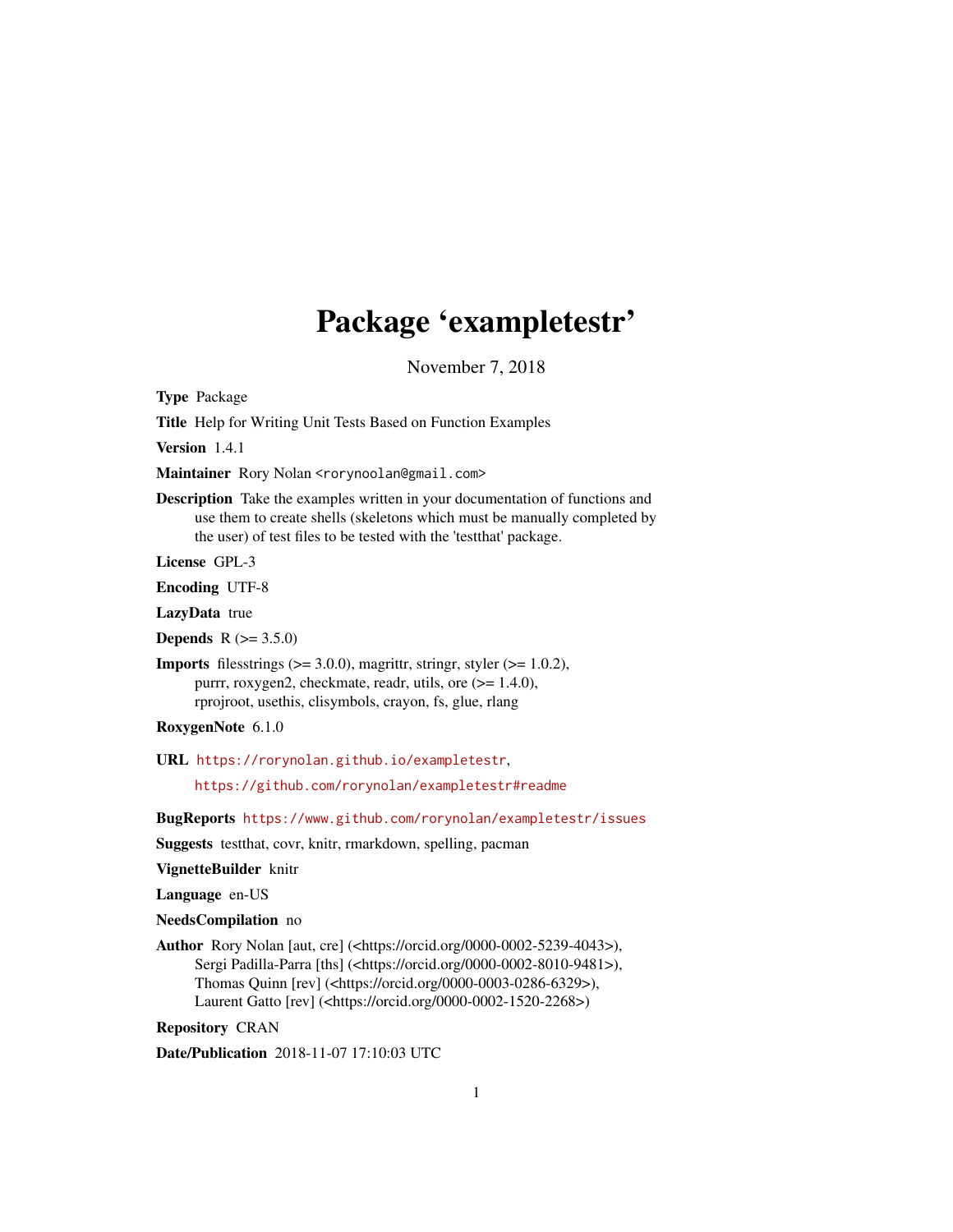## Package 'exampletestr'

November 7, 2018

<span id="page-0-0"></span>Type Package

Title Help for Writing Unit Tests Based on Function Examples

Version 1.4.1

Maintainer Rory Nolan <rorynoolan@gmail.com>

Description Take the examples written in your documentation of functions and use them to create shells (skeletons which must be manually completed by the user) of test files to be tested with the 'testthat' package.

License GPL-3

Encoding UTF-8

LazyData true

**Depends**  $R (= 3.5.0)$ 

**Imports** filesstrings  $(>= 3.0.0)$ , magrittr, stringr, styler  $(>= 1.0.2)$ , purrr, roxygen2, checkmate, readr, utils, ore (>= 1.4.0), rprojroot, usethis, clisymbols, crayon, fs, glue, rlang

RoxygenNote 6.1.0

URL <https://rorynolan.github.io/exampletestr>,

<https://github.com/rorynolan/exampletestr#readme>

BugReports <https://www.github.com/rorynolan/exampletestr/issues>

Suggests testthat, covr, knitr, rmarkdown, spelling, pacman

VignetteBuilder knitr

Language en-US

NeedsCompilation no

Author Rory Nolan [aut, cre] (<https://orcid.org/0000-0002-5239-4043>), Sergi Padilla-Parra [ths] (<https://orcid.org/0000-0002-8010-9481>), Thomas Quinn [rev] (<https://orcid.org/0000-0003-0286-6329>), Laurent Gatto [rev] (<https://orcid.org/0000-0002-1520-2268>)

Repository CRAN

Date/Publication 2018-11-07 17:10:03 UTC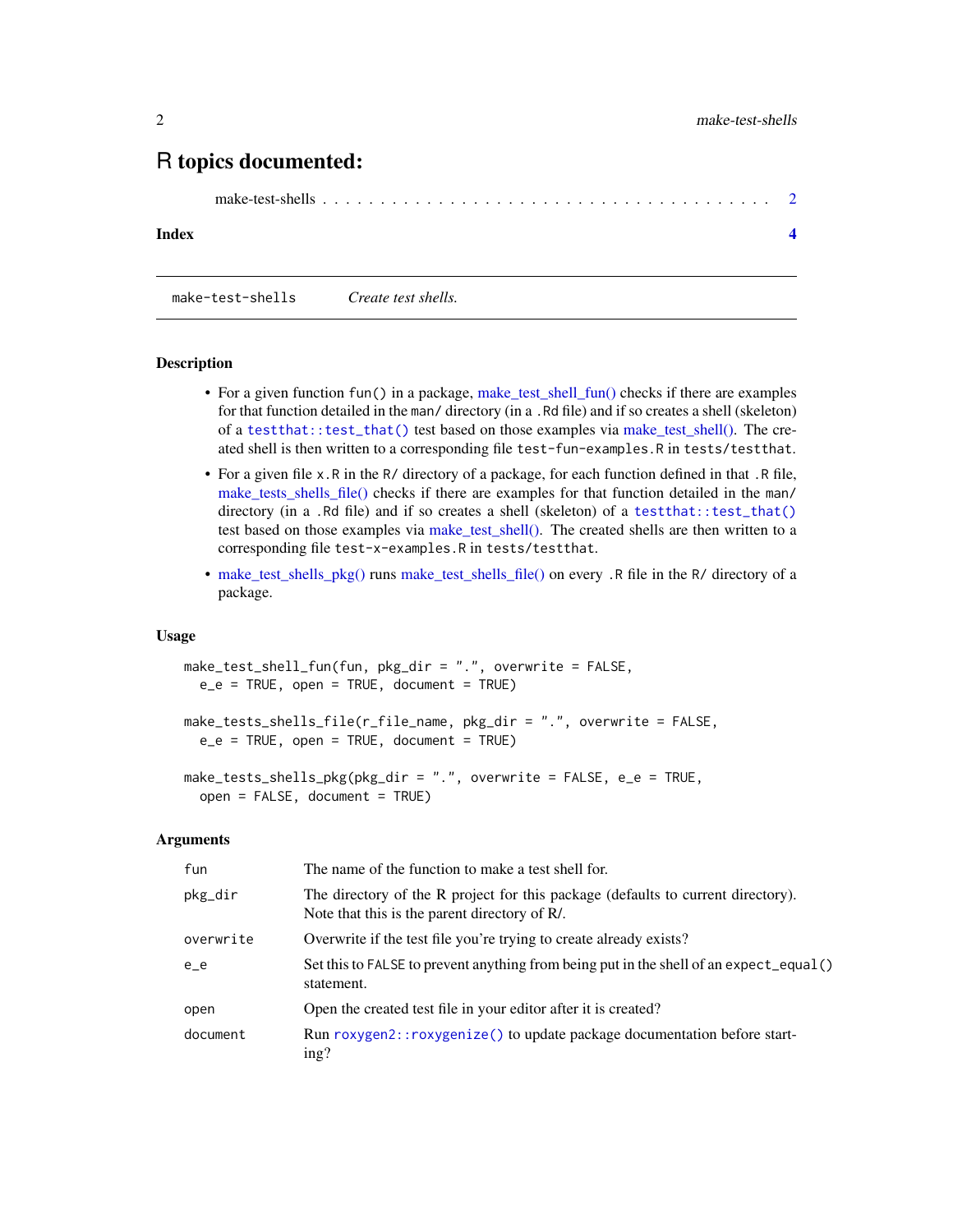### <span id="page-1-0"></span>R topics documented:

```
make-test-shells . . . . . . . . . . . . . . . . . . . . . . . . . . . . . . . . . . . . . . . 2
```
#### **Index** [4](#page-3-0)

<span id="page-1-1"></span>make-test-shells *Create test shells.*

#### **Description**

- For a given function fun() in a package, [make\\_test\\_shell\\_fun\(\)](#page-1-1) checks if there are examples for that function detailed in the man/ directory (in a .Rd file) and if so creates a shell (skeleton) of a [testthat::test\\_that\(\)](#page-0-0) test based on those examples via [make\\_test\\_shell\(\).](#page-1-1) The created shell is then written to a corresponding file test-fun-examples.R in tests/testthat.
- For a given file x.R in the R/ directory of a package, for each function defined in that .R file, [make\\_tests\\_shells\\_file\(\)](#page-1-1) checks if there are examples for that function detailed in the man/ directory (in a .Rd file) and if so creates a shell (skeleton) of a [testthat::test\\_that\(\)](#page-0-0) test based on those examples via [make\\_test\\_shell\(\).](#page-1-1) The created shells are then written to a corresponding file test-x-examples.R in tests/testthat.
- [make\\_test\\_shells\\_pkg\(\)](#page-1-1) runs [make\\_test\\_shells\\_file\(\)](#page-1-1) on every .R file in the R/ directory of a package.

#### Usage

```
make_test_shell_fun(fun, pkg_dir = ".", overwrite = FALSE,
 e_e = TRUE, open = TRUE, document = TRUE)
make_tests_shells_file(r_file_name, pkg_dir = ".", overwrite = FALSE,
  e_e = TRUE, open = TRUE, document = TRUE)
make_tests_shells_pkg(pkg_dir = ".", overwrite = FALSE, e_e = TRUE,
  open = FALSE, document = TRUE)
```
#### Arguments

| fun       | The name of the function to make a test shell for.                                                                               |
|-----------|----------------------------------------------------------------------------------------------------------------------------------|
| pkg_dir   | The directory of the R project for this package (defaults to current directory).<br>Note that this is the parent directory of R. |
| overwrite | Overwrite if the test file you're trying to create already exists?                                                               |
| $e_e$     | Set this to FALSE to prevent anything from being put in the shell of an expect_equal()<br>statement.                             |
| open      | Open the created test file in your editor after it is created?                                                                   |
| document  | Run roxygen2:: roxygenize () to update package documentation before start-<br>ing?                                               |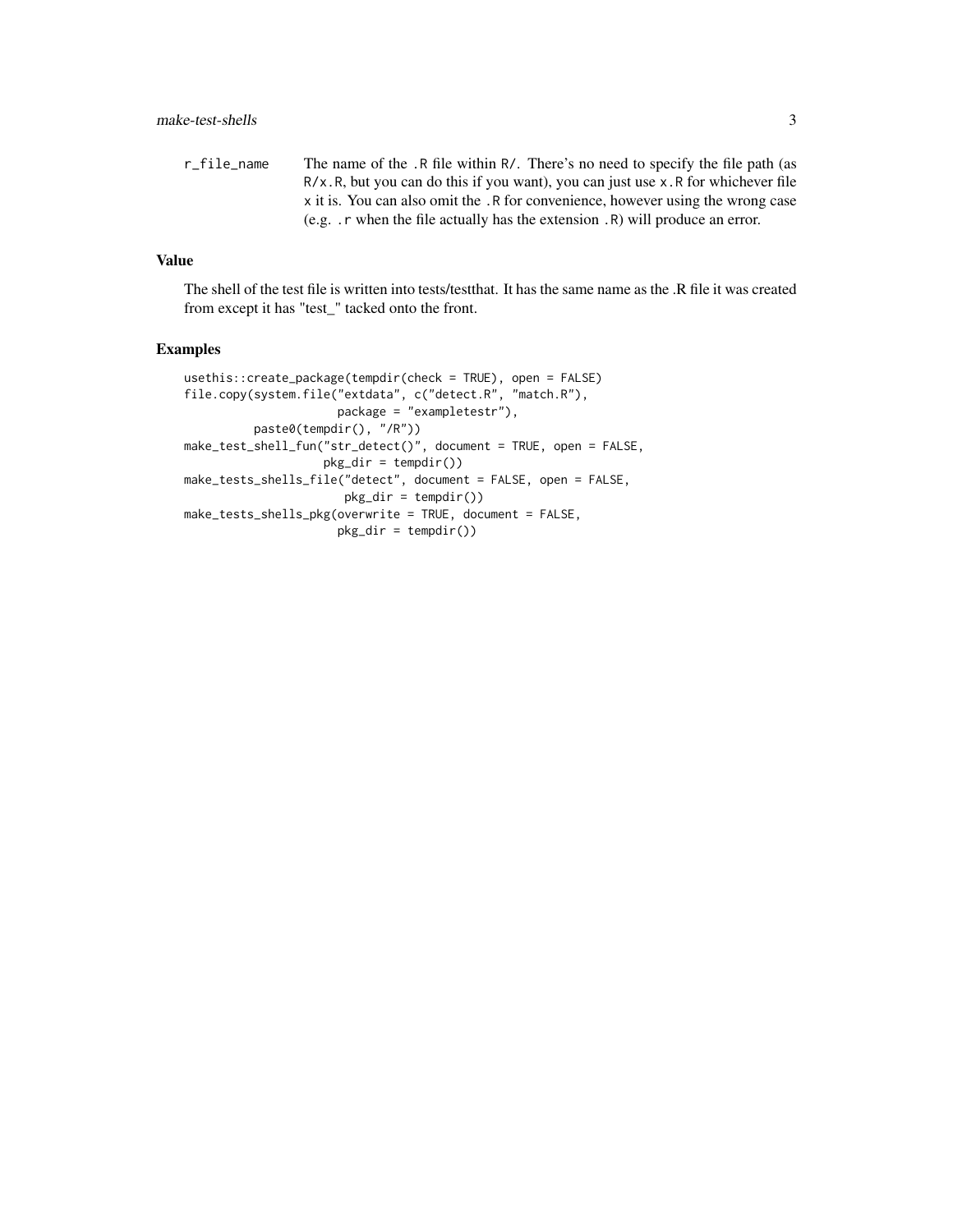r\_file\_name The name of the .R file within R/. There's no need to specify the file path (as R/x.R, but you can do this if you want), you can just use x.R for whichever file x it is. You can also omit the .R for convenience, however using the wrong case (e.g. .r when the file actually has the extension .R) will produce an error.

#### Value

The shell of the test file is written into tests/testthat. It has the same name as the .R file it was created from except it has "test\_" tacked onto the front.

#### Examples

```
usethis::create_package(tempdir(check = TRUE), open = FALSE)
file.copy(system.file("extdata", c("detect.R", "match.R"),
                     package = "exampletestr"),
         paste0(tempdir(), "/R"))
make_test_shell_fun("str_detect()", document = TRUE, open = FALSE,
                    pkg_dir = tempdir())
make_tests_shells_file("detect", document = FALSE, open = FALSE,
                      pkg_dir = tempdir())
make_tests_shells_pkg(overwrite = TRUE, document = FALSE,
                     pkg_dir = tempdir())
```